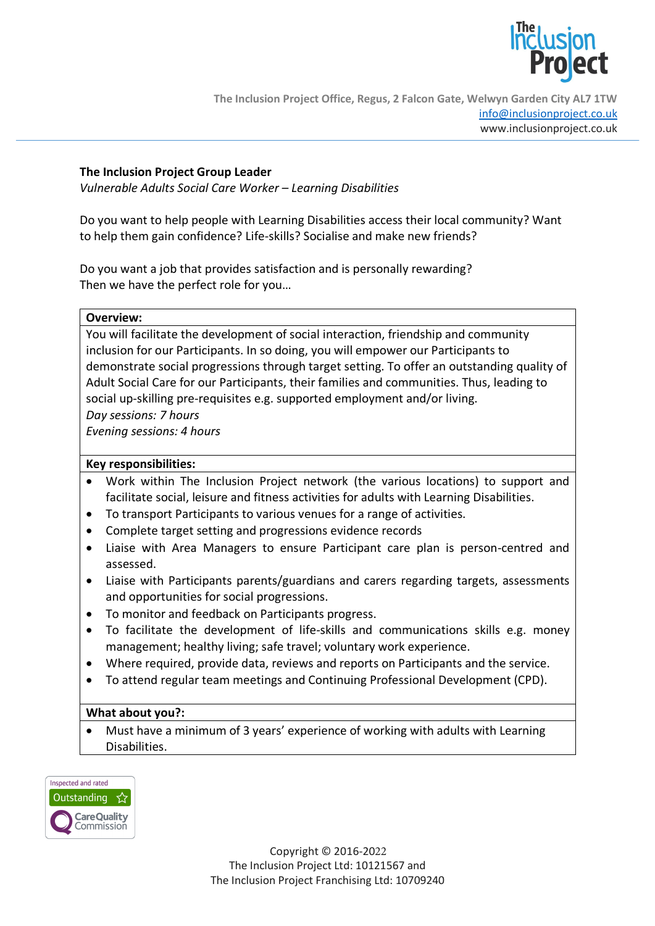

## **The Inclusion Project Group Leader**

*Vulnerable Adults Social Care Worker – Learning Disabilities*

Do you want to help people with Learning Disabilities access their local community? Want to help them gain confidence? Life-skills? Socialise and make new friends?

Do you want a job that provides satisfaction and is personally rewarding? Then we have the perfect role for you…

| Overview: |
|-----------|
|           |
|           |

You will facilitate the development of social interaction, friendship and community inclusion for our Participants. In so doing, you will empower our Participants to demonstrate social progressions through target setting. To offer an outstanding quality of Adult Social Care for our Participants, their families and communities. Thus, leading to social up-skilling pre-requisites e.g. supported employment and/or living. *Day sessions: 7 hours*

*Evening sessions: 4 hours*

## **Key responsibilities:**

- Work within The Inclusion Project network (the various locations) to support and facilitate social, leisure and fitness activities for adults with Learning Disabilities.
- To transport Participants to various venues for a range of activities.
- Complete target setting and progressions evidence records
- Liaise with Area Managers to ensure Participant care plan is person-centred and assessed.
- Liaise with Participants parents/guardians and carers regarding targets, assessments and opportunities for social progressions.
- To monitor and feedback on Participants progress.
- To facilitate the development of life-skills and communications skills e.g. money management; healthy living; safe travel; voluntary work experience.
- Where required, provide data, reviews and reports on Participants and the service.
- To attend regular team meetings and Continuing Professional Development (CPD).

## **What about you?:**

• Must have a minimum of 3 years' experience of working with adults with Learning Disabilities.